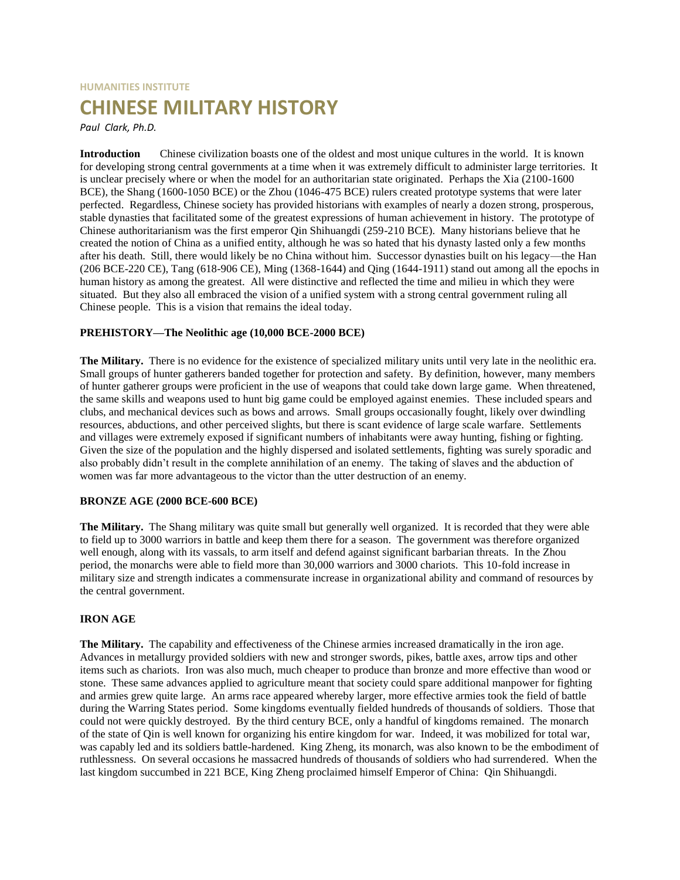# **HUMANITIES INSTITUTE CHINESE MILITARY HISTORY**

*Paul Clark, Ph.D.*

**Introduction** Chinese civilization boasts one of the oldest and most unique cultures in the world. It is known for developing strong central governments at a time when it was extremely difficult to administer large territories. It is unclear precisely where or when the model for an authoritarian state originated. Perhaps the Xia (2100-1600 BCE), the Shang (1600-1050 BCE) or the Zhou (1046-475 BCE) rulers created prototype systems that were later perfected. Regardless, Chinese society has provided historians with examples of nearly a dozen strong, prosperous, stable dynasties that facilitated some of the greatest expressions of human achievement in history. The prototype of Chinese authoritarianism was the first emperor Qin Shihuangdi (259-210 BCE). Many historians believe that he created the notion of China as a unified entity, although he was so hated that his dynasty lasted only a few months after his death. Still, there would likely be no China without him. Successor dynasties built on his legacy—the Han (206 BCE-220 CE), Tang (618-906 CE), Ming (1368-1644) and Qing (1644-1911) stand out among all the epochs in human history as among the greatest. All were distinctive and reflected the time and milieu in which they were situated. But they also all embraced the vision of a unified system with a strong central government ruling all Chinese people. This is a vision that remains the ideal today.

# **PREHISTORY—The Neolithic age (10,000 BCE-2000 BCE)**

**The Military.** There is no evidence for the existence of specialized military units until very late in the neolithic era. Small groups of hunter gatherers banded together for protection and safety. By definition, however, many members of hunter gatherer groups were proficient in the use of weapons that could take down large game. When threatened, the same skills and weapons used to hunt big game could be employed against enemies. These included spears and clubs, and mechanical devices such as bows and arrows. Small groups occasionally fought, likely over dwindling resources, abductions, and other perceived slights, but there is scant evidence of large scale warfare. Settlements and villages were extremely exposed if significant numbers of inhabitants were away hunting, fishing or fighting. Given the size of the population and the highly dispersed and isolated settlements, fighting was surely sporadic and also probably didn't result in the complete annihilation of an enemy. The taking of slaves and the abduction of women was far more advantageous to the victor than the utter destruction of an enemy.

# **BRONZE AGE (2000 BCE-600 BCE)**

**The Military.** The Shang military was quite small but generally well organized. It is recorded that they were able to field up to 3000 warriors in battle and keep them there for a season. The government was therefore organized well enough, along with its vassals, to arm itself and defend against significant barbarian threats. In the Zhou period, the monarchs were able to field more than 30,000 warriors and 3000 chariots. This 10-fold increase in military size and strength indicates a commensurate increase in organizational ability and command of resources by the central government.

# **IRON AGE**

**The Military.** The capability and effectiveness of the Chinese armies increased dramatically in the iron age. Advances in metallurgy provided soldiers with new and stronger swords, pikes, battle axes, arrow tips and other items such as chariots. Iron was also much, much cheaper to produce than bronze and more effective than wood or stone. These same advances applied to agriculture meant that society could spare additional manpower for fighting and armies grew quite large. An arms race appeared whereby larger, more effective armies took the field of battle during the Warring States period. Some kingdoms eventually fielded hundreds of thousands of soldiers. Those that could not were quickly destroyed. By the third century BCE, only a handful of kingdoms remained. The monarch of the state of Qin is well known for organizing his entire kingdom for war. Indeed, it was mobilized for total war, was capably led and its soldiers battle-hardened. King Zheng, its monarch, was also known to be the embodiment of ruthlessness. On several occasions he massacred hundreds of thousands of soldiers who had surrendered. When the last kingdom succumbed in 221 BCE, King Zheng proclaimed himself Emperor of China: Qin Shihuangdi.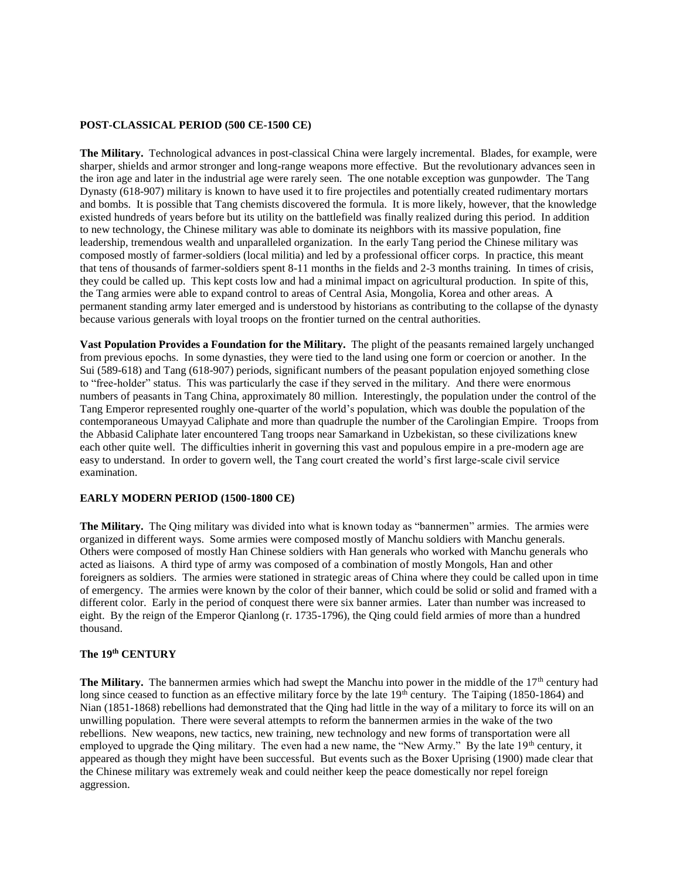#### **POST-CLASSICAL PERIOD (500 CE-1500 CE)**

**The Military.** Technological advances in post-classical China were largely incremental. Blades, for example, were sharper, shields and armor stronger and long-range weapons more effective. But the revolutionary advances seen in the iron age and later in the industrial age were rarely seen. The one notable exception was gunpowder. The Tang Dynasty (618-907) military is known to have used it to fire projectiles and potentially created rudimentary mortars and bombs. It is possible that Tang chemists discovered the formula. It is more likely, however, that the knowledge existed hundreds of years before but its utility on the battlefield was finally realized during this period. In addition to new technology, the Chinese military was able to dominate its neighbors with its massive population, fine leadership, tremendous wealth and unparalleled organization. In the early Tang period the Chinese military was composed mostly of farmer-soldiers (local militia) and led by a professional officer corps. In practice, this meant that tens of thousands of farmer-soldiers spent 8-11 months in the fields and 2-3 months training. In times of crisis, they could be called up. This kept costs low and had a minimal impact on agricultural production. In spite of this, the Tang armies were able to expand control to areas of Central Asia, Mongolia, Korea and other areas. A permanent standing army later emerged and is understood by historians as contributing to the collapse of the dynasty because various generals with loyal troops on the frontier turned on the central authorities.

**Vast Population Provides a Foundation for the Military.** The plight of the peasants remained largely unchanged from previous epochs. In some dynasties, they were tied to the land using one form or coercion or another. In the Sui (589-618) and Tang (618-907) periods, significant numbers of the peasant population enjoyed something close to "free-holder" status. This was particularly the case if they served in the military. And there were enormous numbers of peasants in Tang China, approximately 80 million. Interestingly, the population under the control of the Tang Emperor represented roughly one-quarter of the world's population, which was double the population of the contemporaneous Umayyad Caliphate and more than quadruple the number of the Carolingian Empire. Troops from the Abbasid Caliphate later encountered Tang troops near Samarkand in Uzbekistan, so these civilizations knew each other quite well. The difficulties inherit in governing this vast and populous empire in a pre-modern age are easy to understand. In order to govern well, the Tang court created the world's first large-scale civil service examination.

#### **EARLY MODERN PERIOD (1500-1800 CE)**

**The Military.** The Qing military was divided into what is known today as "bannermen" armies. The armies were organized in different ways. Some armies were composed mostly of Manchu soldiers with Manchu generals. Others were composed of mostly Han Chinese soldiers with Han generals who worked with Manchu generals who acted as liaisons. A third type of army was composed of a combination of mostly Mongols, Han and other foreigners as soldiers. The armies were stationed in strategic areas of China where they could be called upon in time of emergency. The armies were known by the color of their banner, which could be solid or solid and framed with a different color. Early in the period of conquest there were six banner armies. Later than number was increased to eight. By the reign of the Emperor Qianlong (r. 1735-1796), the Qing could field armies of more than a hundred thousand.

### **The 19th CENTURY**

**The Military.** The bannermen armies which had swept the Manchu into power in the middle of the  $17<sup>th</sup>$  century had long since ceased to function as an effective military force by the late  $19<sup>th</sup>$  century. The Taiping (1850-1864) and Nian (1851-1868) rebellions had demonstrated that the Qing had little in the way of a military to force its will on an unwilling population. There were several attempts to reform the bannermen armies in the wake of the two rebellions. New weapons, new tactics, new training, new technology and new forms of transportation were all employed to upgrade the Qing military. The even had a new name, the "New Army." By the late 19<sup>th</sup> century, it appeared as though they might have been successful. But events such as the Boxer Uprising (1900) made clear that the Chinese military was extremely weak and could neither keep the peace domestically nor repel foreign aggression.